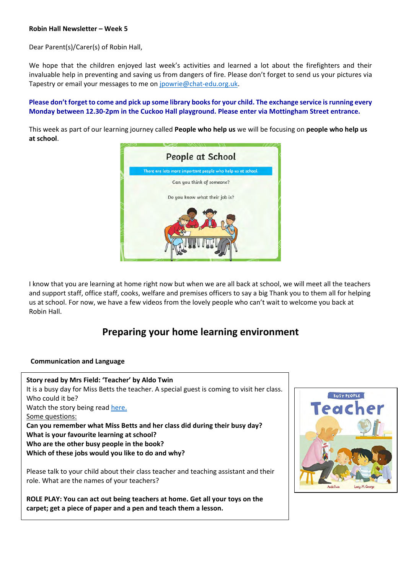Dear Parent(s)/Carer(s) of Robin Hall,

We hope that the children enjoyed last week's activities and learned a lot about the firefighters and their invaluable help in preventing and saving us from dangers of fire. Please don't forget to send us your pictures via Tapestry or email your messages to me on [jpowrie@chat-edu.org.uk.](mailto:jpowrie@chat-edu.org.uk)

#### **Please don't forget to come and pick up some library books for your child. The exchange service is running every Monday between 12.30-2pm in the Cuckoo Hall playground. Please enter via Mottingham Street entrance.**

This week as part of our learning journey called **People who help us** we will be focusing on **people who help us at school**.



I know that you are learning at home right now but when we are all back at school, we will meet all the teachers and support staff, office staff, cooks, welfare and premises officers to say a big Thank you to them all for helping us at school. For now, we have a few videos from the lovely people who can't wait to welcome you back at Robin Hall.

### **Preparing your home learning environment**

#### **Communication and Language**

**Story read by Mrs Field: 'Teacher' by Aldo Twin**  It is a busy day for Miss Betts the teacher. A special guest is coming to visit her class. Who could it be? Watch the story being read [here.](https://youtu.be/Q5Q5AypiOPk) Some questions: **Can you remember what Miss Betts and her class did during their busy day? What is your favourite learning at school? Who are the other busy people in the book? Which of these jobs would you like to do and why?**

Please talk to your child about their class teacher and teaching assistant and their role. What are the names of your teachers?

**ROLE PLAY: You can act out being teachers at home. Get all your toys on the carpet; get a piece of paper and a pen and teach them a lesson.** 

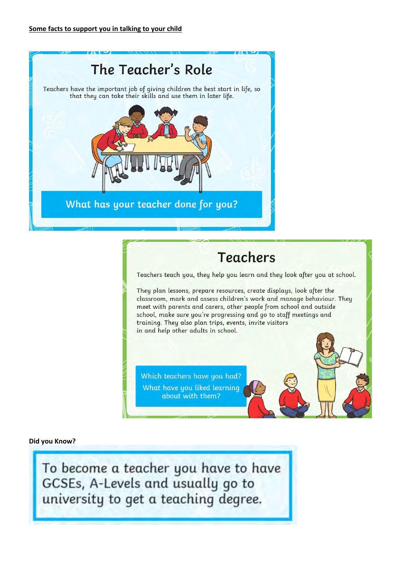

# **Teachers**

Teachers teach you, they help you learn and they look after you at school.

They plan lessons, prepare resources, create displays, look after the classroom, mark and assess children's work and manage behaviour. They meet with parents and carers, other people from school and outside school, make sure you're progressing and go to staff meetings and training. They also plan trips, events, invite visitors in and help other adults in school.

Which teachers have you had? What have you liked learning about with them?

#### **Did you Know?**

To become a teacher you have to have GCSEs, A-Levels and usually go to university to get a teaching degree.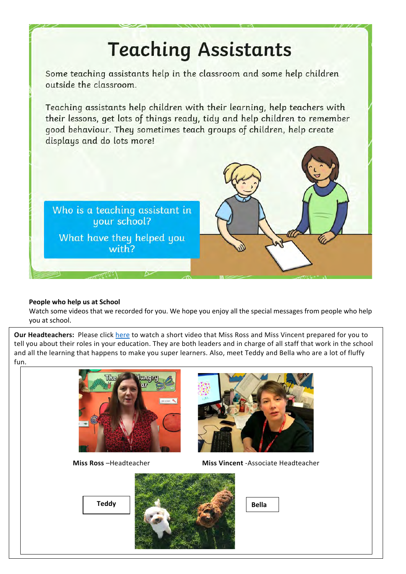# **Teaching Assistants** Some teaching assistants help in the classroom and some help children outside the classroom. Teaching assistants help children with their learning, help teachers with their lessons, get lots of things ready, tidy and help children to remember good behaviour. They sometimes teach groups of children, help create displays and do lots more! Who is a teaching assistant in your school? What have they helped you with?

#### **People who help us at School**

Watch some videos that we recorded for you. We hope you enjoy all the special messages from people who help you at school.

**Our Headteachers:** Please click [here](https://youtu.be/T-Bh_YiWFh0) to watch a short video that Miss Ross and Miss Vincent prepared for you to tell you about their roles in your education. They are both leaders and in charge of all staff that work in the school and all the learning that happens to make you super learners. Also, meet Teddy and Bella who are a lot of fluffy fun.

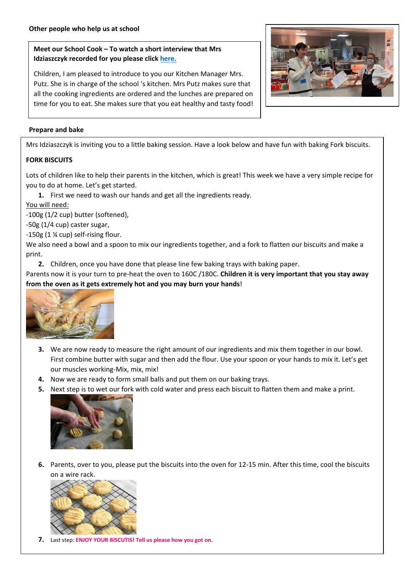#### **Meet our School Cook – To watch a short interview that Mrs Idziaszczyk recorded for you please click [here.](https://youtu.be/aeECxqPYpyw)**

Children, I am pleased to introduce to you our Kitchen Manager Mrs. Putz. She is in charge of the school 's kitchen. Mrs Putz makes sure that all the cooking ingredients are ordered and the lunches are prepared on time for you to eat. She makes sure that you eat healthy and tasty food!



#### **Prepare and bake**

Mrs Idziaszczyk is inviting you to a little baking session. Have a look below and have fun with baking Fork biscuits.

#### **FORK BISCUITS**

Lots of children like to help their parents in the kitchen, which is great! This week we have a very simple recipe for you to do at home. Let's get started.

**1.** First we need to wash our hands and get all the ingredients ready.

You will need:

-100g (1/2 cup) butter (softened),

-50g (1/4 cup) caster sugar,

-150g (1 ¼ cup) self-rising flour.

We also need a bowl and a spoon to mix our ingredients together, and a fork to flatten our biscuits and make a print.

**2.** Children, once you have done that please line few baking trays with baking paper.

Parents now it is your turn to pre-heat the oven to 160C /180C. **Children it is very important that you stay away from the oven as it gets extremely hot and you may burn your hands**!



- **3.** We are now ready to measure the right amount of our ingredients and mix them together in our bowl. First combine butter with sugar and then add the flour. Use your spoon or your hands to mix it. Let's get our muscles working-Mix, mix, mix!
- **4.** Now we are ready to form small balls and put them on our baking trays.
- **5.** Next step is to wet our fork with cold water and press each biscuit to flatten them and make a print.



**6.** Parents, over to you, please put the biscuits into the oven for 12-15 min. After this time, cool the biscuits on a wire rack.



**7.** Last step: **ENJOY YOUR BISCUTIS! Tell us please how you got on.**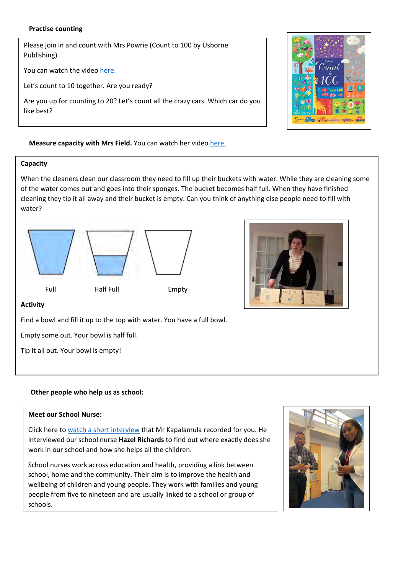#### **Practise counting**

Please join in and count with Mrs Powrie (Count to 100 by Usborne Publishing)

You can watch the video [here.](https://youtu.be/HpZjUt_q4WA)

Let's count to 10 together. Are you ready?

Are you up for counting to 20? Let's count all the crazy cars. Which car do you like best?



#### **Measure capacity with Mrs Field.** You can watch her video [here.](https://youtu.be/7VGBax__iTM)

#### **Capacity**

When the cleaners clean our classroom they need to fill up their buckets with water. While they are cleaning some of the water comes out and goes into their sponges. The bucket becomes half full. When they have finished cleaning they tip it all away and their bucket is empty. Can you think of anything else people need to fill with water?





#### **Activity**

Find a bowl and fill it up to the top with water. You have a full bowl.

Empty some out. Your bowl is half full.

Tip it all out. Your bowl is empty!

#### **Other people who help us as school:**

#### **Meet our School Nurse:**

Click here to [watch a short interview](https://youtu.be/tYIGV7IwPtg) that Mr Kapalamula recorded for you. He interviewed our school nurse **Hazel Richards** to find out where exactly does she work in our school and how she helps all the children.

School nurses work across education and health, providing a link between school, home and the community. Their aim is to improve the health and wellbeing of children and young people. They work with families and young people from five to nineteen and are usually linked to a school or group of schools.

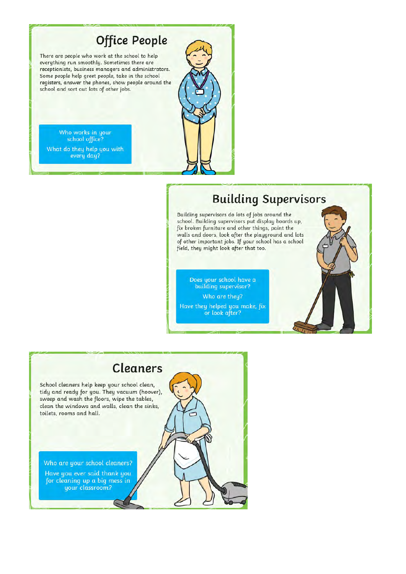## **Office People**

There are people who work at the school to help everything run smoothly. Sometimes there are receptionists, business managers and administrators. Some people help greet people, take in the school registers, answer the phones, show people around the school and sort out lots of other jobs.

Who works in your school office? What do they help you with every day?



Building supervisors do lots of jobs around the school. Building supervisors put display boards up, fix broken furniture and other things, paint the walls and doors, look after the playground and lots of other important jobs. If your school has a school field, they might look after that too.

Does your school have a<br>building supervisor? Who are they? Have they helped you make, fix or look after?

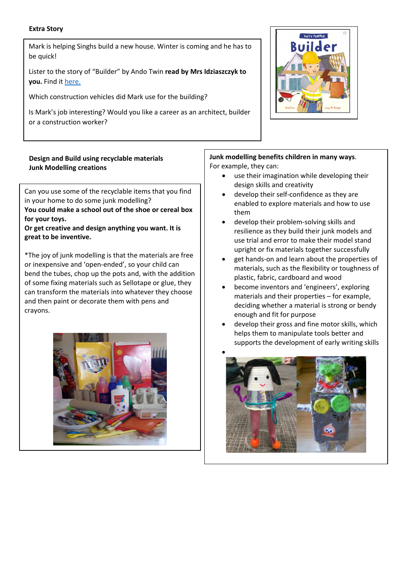#### **Extra Story**

Mark is helping Singhs build a new house. Winter is coming and he has to be quick!

Lister to the story of "Builder" by Ando Twin **read by Mrs Idziaszczyk to you.** Find it [here.](https://youtu.be/KV1VRqtKATY)

Which construction vehicles did Mark use for the building?

Is Mark's job interesting? Would you like a career as an architect, builder or a construction worker?

#### **Design and Build using recyclable materials Junk Modelling creations**

Can you use some of the recyclable items that you find in your home to do some junk modelling? **You could make a school out of the shoe or cereal box for your toys.**

**Or get creative and design anything you want. It is great to be inventive.** 

\*The joy of junk modelling is that the materials are free or inexpensive and 'open-ended', so your child can bend the tubes, chop up the pots and, with the addition of some fixing materials such as Sellotape or glue, they can transform the materials into whatever they choose and then paint or decorate them with pens and crayons.



# BUSY PEOPLE

**Junk modelling benefits children in many ways**. For example, they can:

- use their imagination while developing their design skills and creativity
- develop their self-confidence as they are enabled to explore materials and how to use them
- develop their problem-solving skills and resilience as they build their junk models and use trial and error to make their model stand upright or fix materials together successfully
- get hands-on and learn about the properties of materials, such as the flexibility or toughness of plastic, fabric, cardboard and wood
- become inventors and 'engineers', exploring materials and their properties – for example, deciding whether a material is strong or bendy enough and fit for purpose
- develop their gross and fine motor skills, which helps them to manipulate tools better and supports the development of early writing skills

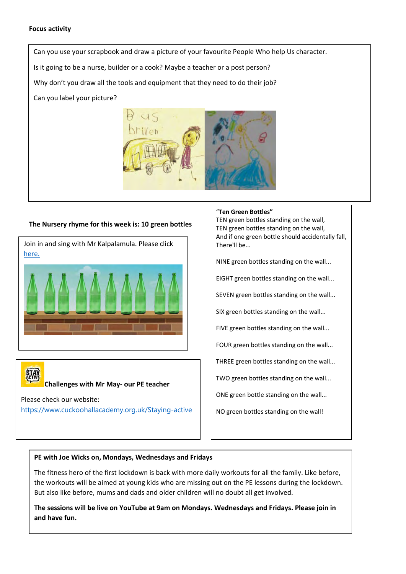#### **Focus activity**

Can you use your scrapbook and draw a picture of your favourite People Who help Us character.

Is it going to be a nurse, builder or a cook? Maybe a teacher or a post person?

Why don't you draw all the tools and equipment that they need to do their job?

Can you label your picture?



#### **The Nursery rhyme for this week is: 10 green bottles**

Join in and sing with Mr Kalpalamula. Please click [here.](https://youtu.be/DGsoWF1c6kc)

**Challenges with Mr May- our PE teacher**

Please check our website: <https://www.cuckoohallacademy.org.uk/Staying-active>

#### "**Ten Green Bottles"**

TEN green bottles standing on the wall, TEN green bottles standing on the wall, And if one green bottle should accidentally fall, There'll be...

NINE green bottles standing on the wall...

EIGHT green bottles standing on the wall...

SEVEN green bottles standing on the wall...

SIX green bottles standing on the wall...

FIVE green bottles standing on the wall...

FOUR green bottles standing on the wall...

THREE green bottles standing on the wall...

TWO green bottles standing on the wall...

ONE green bottle standing on the wall...

NO green bottles standing on the wall!

#### **PE with Joe Wicks on, Mondays, Wednesdays and Fridays**

The fitness hero of the first lockdown is back with more daily workouts for all the family. Like before, the workouts will be aimed at young kids who are missing out on the PE lessons during the lockdown. But also like before, mums and dads and older children will no doubt all get involved.

**The sessions will be live on YouTube at 9am on Mondays. Wednesdays and Fridays. Please join in and have fun.**